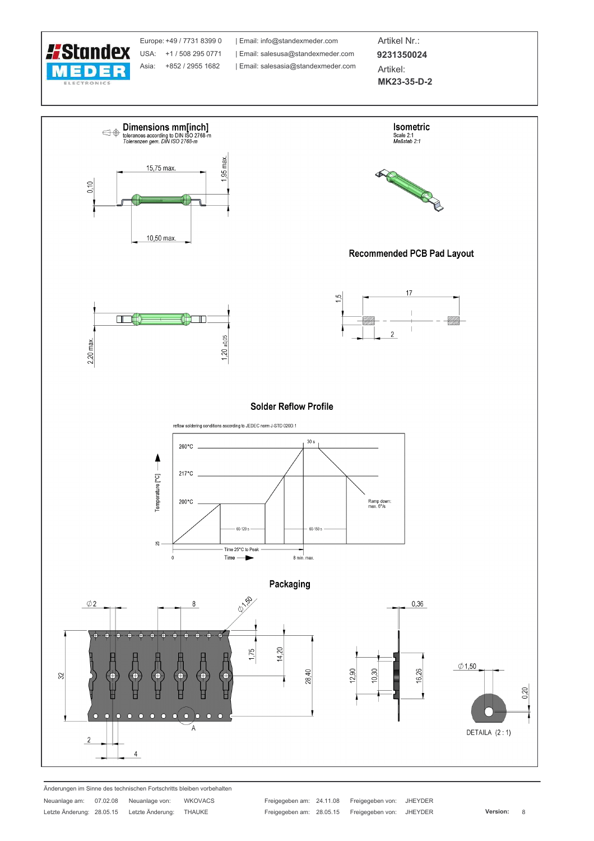

Europe: +49 / 7731 8399 0 USA: +1 / 508 295 0771 Asia: +852 / 2955 1682

| Email: info@standexmeder.com Email: salesusa@standexmeder.com | Email: salesasia@standexmeder.com

Artikel Nr.: 9231350024 Artikel:

MK23-35-D-2



Änderungen im Sinne des technischen Fortschritts bleiben vorbehalten **WKOVACS** 

Neuanlage am: 07.02.08 Neuanlage von: Letzte Änderung: 28.05.15 Letzte Änderung: THAUKE